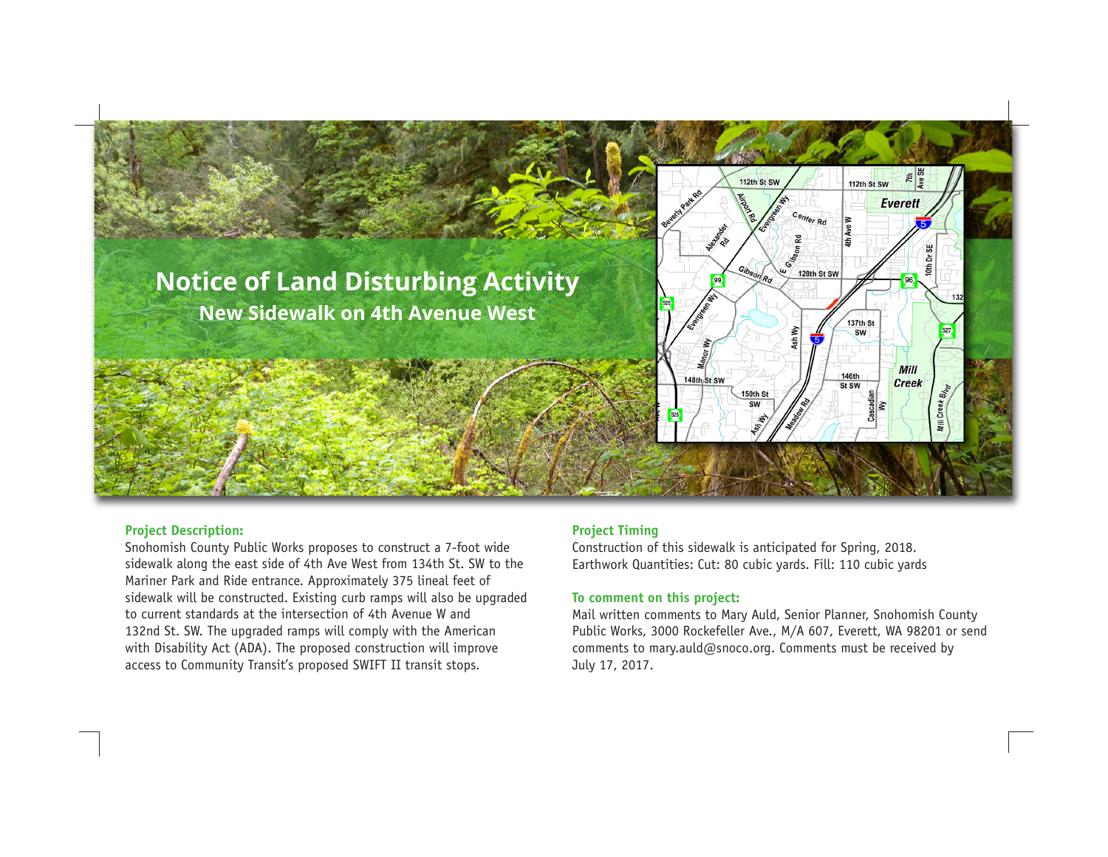

## **Project Description:**

Snohomish County Public Works proposes to construct a 7-foot wide sidewalk along the east side of 4th Ave West from 134th St. SW to the Mariner Park and Ride entrance. Approximately 375 lineal feet of sidewalk will be constructed. Existing curb ramps will also be upgraded to current standards at the intersection of 4th Avenue W and 132nd St. SW. The upgraded ramps will comply with the American with Disability Act (ADA). The proposed construction will improve access to Community Transit's proposed SWIFT II transit stops.

# **Project Timing**

Construction of this sidewalk is anticipated for Spring, 2018. Earthwork Quantities: Cut: 80 cubic yards. Fill: 110 cubic yards

## **To comment on this project:**

Mail written comments to Mary Auld, Senior Planner, Snohomish County Public Works, 3000 Rockefeller Ave., M/A 607, Everett, WA 98201 or send comments to mary.auld@snoco.org. Comments must be received by July 17, 2017.